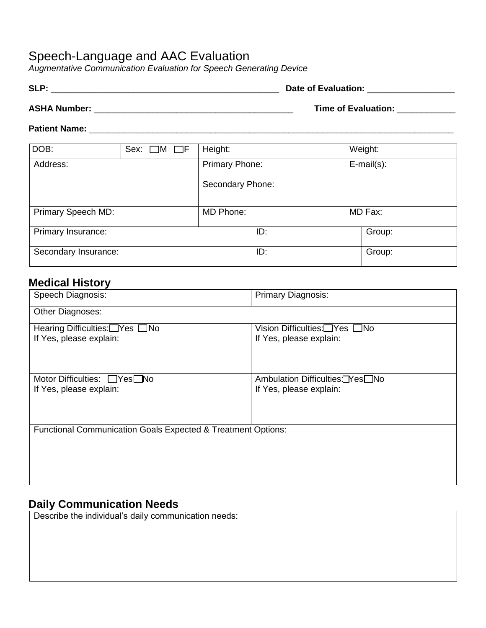### Speech-Language and AAC Evaluation

*Augmentative Communication Evaluation for Speech Generating Device* 

| <b>SLP</b> | Date of Evaluation: |  |
|------------|---------------------|--|
|            |                     |  |

**ASHA Number:** \_\_\_\_\_\_\_\_\_\_\_\_\_\_\_\_\_\_\_\_\_\_\_\_\_\_\_\_\_\_\_\_\_\_\_\_\_\_\_\_\_ **Time of Evaluation:** \_\_\_\_\_\_\_\_\_\_\_\_

#### **Patient Name:** \_\_\_\_\_\_\_\_\_\_\_\_\_\_\_\_\_\_\_\_\_\_\_\_\_\_\_\_\_\_\_\_\_\_\_\_\_\_\_\_\_\_\_\_\_\_\_\_\_\_\_\_\_\_\_\_\_\_\_\_\_\_\_\_\_\_\_\_\_\_\_\_\_\_\_

| DOB:                 | Sex: $\Box$ M $\Box$ F | Height:               |     | Weight:           |
|----------------------|------------------------|-----------------------|-----|-------------------|
| Address:             |                        | <b>Primary Phone:</b> |     | $E$ -mail $(s)$ : |
|                      |                        | Secondary Phone:      |     |                   |
| Primary Speech MD:   |                        | MD Phone:             |     | MD Fax:           |
| Primary Insurance:   |                        |                       | ID: | Group:            |
| Secondary Insurance: |                        |                       | ID: | Group:            |

#### **Medical History**

| Speech Diagnosis:                                                       | <b>Primary Diagnosis:</b>              |  |  |  |
|-------------------------------------------------------------------------|----------------------------------------|--|--|--|
| Other Diagnoses:                                                        |                                        |  |  |  |
| Hearing Difficulties:□Yes □No                                           | Vision Difficulties:□Yes □No           |  |  |  |
| If Yes, please explain:                                                 | If Yes, please explain:                |  |  |  |
|                                                                         |                                        |  |  |  |
|                                                                         |                                        |  |  |  |
| Motor Difficulties: □Yes□No                                             | Ambulation Difficulties <b>□Yes□No</b> |  |  |  |
| If Yes, please explain:                                                 | If Yes, please explain:                |  |  |  |
|                                                                         |                                        |  |  |  |
|                                                                         |                                        |  |  |  |
|                                                                         |                                        |  |  |  |
| <b>Functional Communication Goals Expected &amp; Treatment Options:</b> |                                        |  |  |  |
|                                                                         |                                        |  |  |  |
|                                                                         |                                        |  |  |  |
|                                                                         |                                        |  |  |  |

#### **Daily Communication Needs**

Describe the individual's daily communication needs: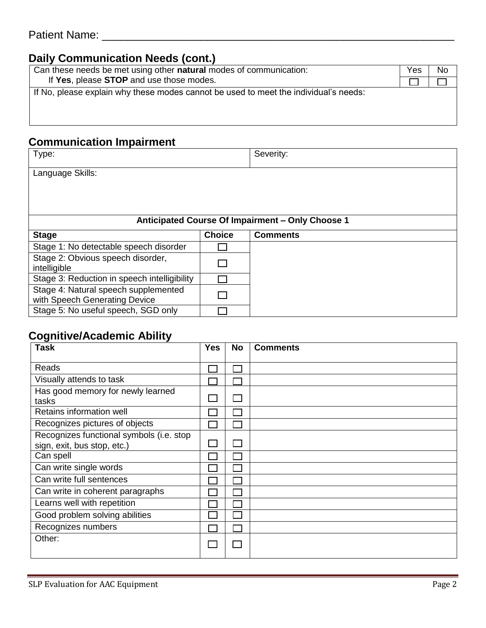### **Daily Communication Needs (cont.)**

| Can these needs be met using other natural modes of communication:                   | Yes | Nο |
|--------------------------------------------------------------------------------------|-----|----|
| If Yes, please STOP and use those modes.                                             |     |    |
| If No, please explain why these modes cannot be used to meet the individual's needs: |     |    |
|                                                                                      |     |    |

## **Communication Impairment**

| Type:                                                                 |                                                  | Severity:       |  |  |  |
|-----------------------------------------------------------------------|--------------------------------------------------|-----------------|--|--|--|
| Language Skills:                                                      |                                                  |                 |  |  |  |
|                                                                       |                                                  |                 |  |  |  |
|                                                                       |                                                  |                 |  |  |  |
|                                                                       | Anticipated Course Of Impairment - Only Choose 1 |                 |  |  |  |
| <b>Stage</b>                                                          | <b>Choice</b>                                    | <b>Comments</b> |  |  |  |
| Stage 1: No detectable speech disorder                                |                                                  |                 |  |  |  |
| Stage 2: Obvious speech disorder,<br>intelligible                     |                                                  |                 |  |  |  |
| Stage 3: Reduction in speech intelligibility                          |                                                  |                 |  |  |  |
| Stage 4: Natural speech supplemented<br>with Speech Generating Device |                                                  |                 |  |  |  |
| Stage 5: No useful speech, SGD only                                   |                                                  |                 |  |  |  |

#### **Cognitive/Academic Ability**

| <b>Task</b>                              | <b>Yes</b> | <b>No</b> | <b>Comments</b> |
|------------------------------------------|------------|-----------|-----------------|
|                                          |            |           |                 |
| Reads                                    |            |           |                 |
| Visually attends to task                 |            |           |                 |
| Has good memory for newly learned        |            |           |                 |
| tasks                                    |            |           |                 |
| Retains information well                 |            |           |                 |
| Recognizes pictures of objects           |            |           |                 |
| Recognizes functional symbols (i.e. stop |            |           |                 |
| sign, exit, bus stop, etc.)              |            |           |                 |
| Can spell                                |            |           |                 |
| Can write single words                   |            |           |                 |
| Can write full sentences                 |            |           |                 |
| Can write in coherent paragraphs         |            |           |                 |
| Learns well with repetition              |            |           |                 |
| Good problem solving abilities           |            |           |                 |
| Recognizes numbers                       |            |           |                 |
| Other:                                   |            |           |                 |
|                                          |            |           |                 |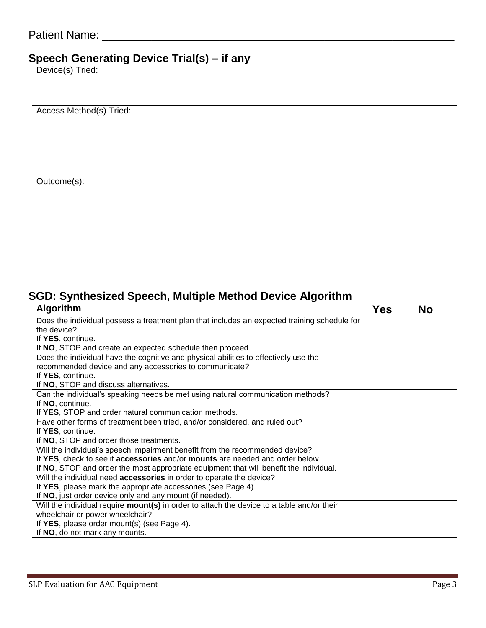# **Speech Generating Device Trial(s) – if any**

Device(s) Tried:

Access Method(s) Tried:

Outcome(s):

## **SGD: Synthesized Speech, Multiple Method Device Algorithm**

| <b>Algorithm</b>                                                                                  | <b>Yes</b> | <b>No</b> |
|---------------------------------------------------------------------------------------------------|------------|-----------|
| Does the individual possess a treatment plan that includes an expected training schedule for      |            |           |
| the device?                                                                                       |            |           |
| If YES, continue.                                                                                 |            |           |
| If NO, STOP and create an expected schedule then proceed.                                         |            |           |
| Does the individual have the cognitive and physical abilities to effectively use the              |            |           |
| recommended device and any accessories to communicate?                                            |            |           |
| If YES, continue.                                                                                 |            |           |
| If NO, STOP and discuss alternatives.                                                             |            |           |
| Can the individual's speaking needs be met using natural communication methods?                   |            |           |
| If NO, continue.                                                                                  |            |           |
| If YES, STOP and order natural communication methods.                                             |            |           |
| Have other forms of treatment been tried, and/or considered, and ruled out?                       |            |           |
| If YES, continue.                                                                                 |            |           |
| If NO, STOP and order those treatments.                                                           |            |           |
| Will the individual's speech impairment benefit from the recommended device?                      |            |           |
| If YES, check to see if accessories and/or mounts are needed and order below.                     |            |           |
| If NO, STOP and order the most appropriate equipment that will benefit the individual.            |            |           |
| Will the individual need accessories in order to operate the device?                              |            |           |
| If YES, please mark the appropriate accessories (see Page 4).                                     |            |           |
| If NO, just order device only and any mount (if needed).                                          |            |           |
| Will the individual require <b>mount(s)</b> in order to attach the device to a table and/or their |            |           |
| wheelchair or power wheelchair?                                                                   |            |           |
| If YES, please order mount(s) (see Page 4).                                                       |            |           |
| If NO, do not mark any mounts.                                                                    |            |           |